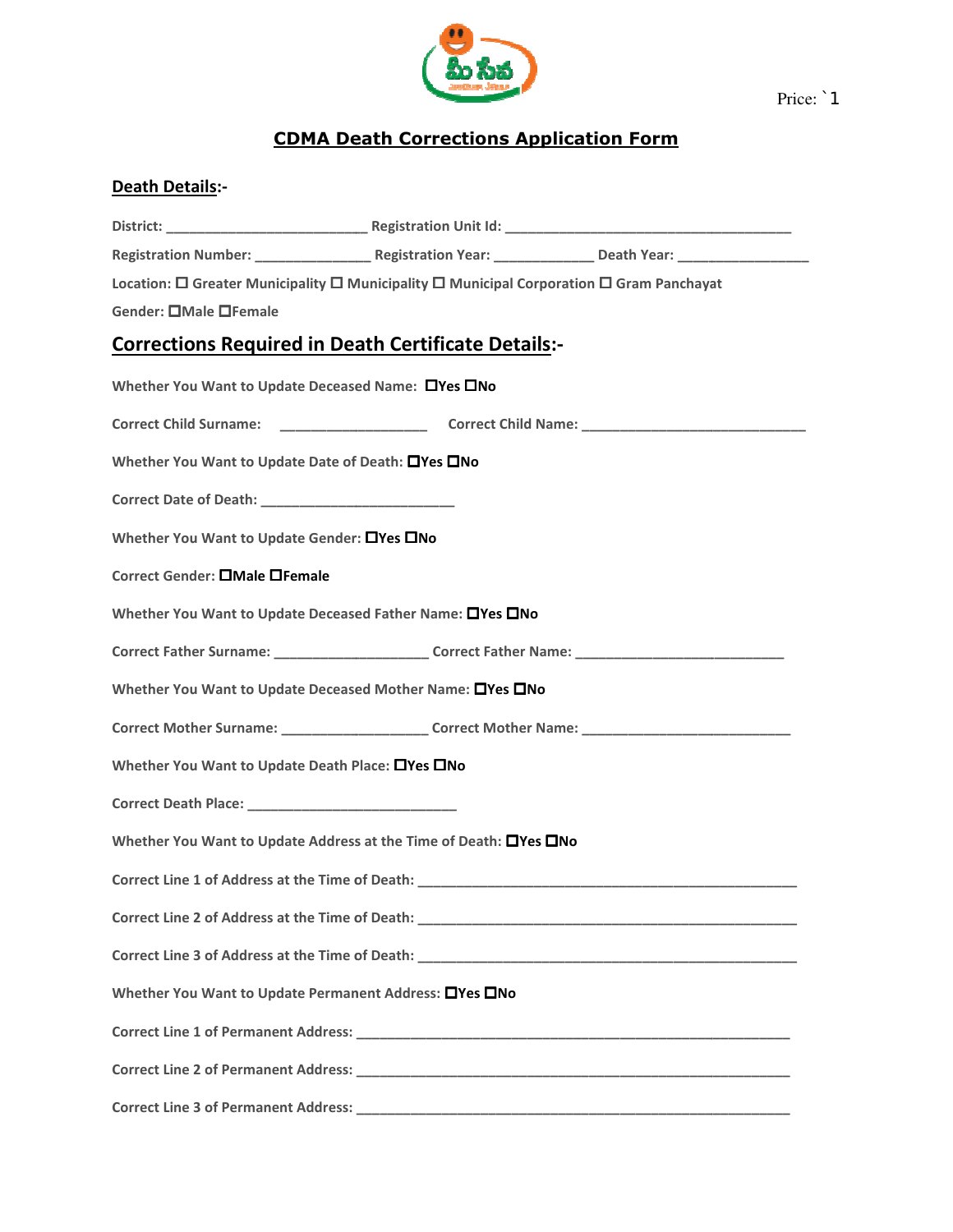

Price: `1

## CDMA Death Death Corrections Application Form

## Death Details:-

|                                                                   | Location: □ Greater Municipality □ Municipality □ Municipal Corporation □ Gram Panchayat            |  |
|-------------------------------------------------------------------|-----------------------------------------------------------------------------------------------------|--|
| Gender: OMale OFemale                                             |                                                                                                     |  |
| <b>Corrections Required in Death Certificate Details:-</b>        |                                                                                                     |  |
| Whether You Want to Update Deceased Name: OYes ONo                |                                                                                                     |  |
|                                                                   |                                                                                                     |  |
| Whether You Want to Update Date of Death: OYes ONo                |                                                                                                     |  |
|                                                                   |                                                                                                     |  |
| Whether You Want to Update Gender: □Yes □No                       |                                                                                                     |  |
| Correct Gender: <b>OMale OFemale</b>                              |                                                                                                     |  |
| Whether You Want to Update Deceased Father Name: OYes ONo         |                                                                                                     |  |
|                                                                   | Correct Father Surname: __________________________Correct Father Name: ____________________________ |  |
| Whether You Want to Update Deceased Mother Name: OYes ONo         |                                                                                                     |  |
|                                                                   | Correct Mother Surname: _______________________Correct Mother Name: _______________________________ |  |
| Whether You Want to Update Death Place: □Yes □No                  |                                                                                                     |  |
|                                                                   |                                                                                                     |  |
| Whether You Want to Update Address at the Time of Death: OYes ONo |                                                                                                     |  |
|                                                                   | Correct Line 1 of Address at the Time of Death: National Correct Line 2014 19:00 April 2014         |  |
|                                                                   |                                                                                                     |  |
|                                                                   |                                                                                                     |  |
| Whether You Want to Update Permanent Address: □Yes □No            |                                                                                                     |  |
|                                                                   |                                                                                                     |  |
|                                                                   |                                                                                                     |  |
|                                                                   |                                                                                                     |  |